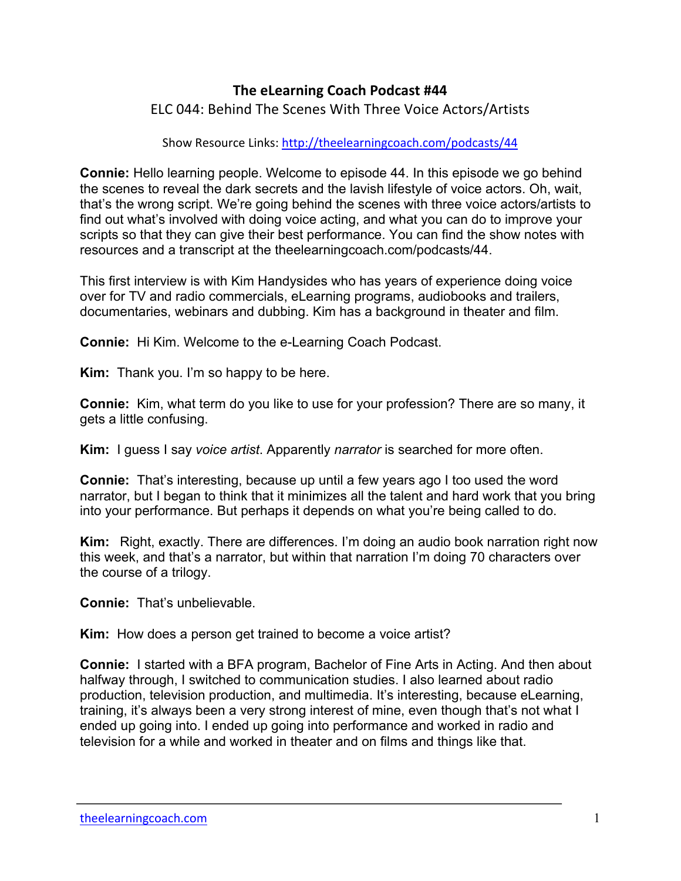## **The eLearning Coach Podcast #44**

ELC 044: Behind The Scenes With Three Voice Actors/Artists

Show Resource Links: http://theelearningcoach.com/podcasts/44

**Connie:** Hello learning people. Welcome to episode 44. In this episode we go behind the scenes to reveal the dark secrets and the lavish lifestyle of voice actors. Oh, wait, that's the wrong script. We're going behind the scenes with three voice actors/artists to find out what's involved with doing voice acting, and what you can do to improve your scripts so that they can give their best performance. You can find the show notes with resources and a transcript at the theelearningcoach.com/podcasts/44.

This first interview is with Kim Handysides who has years of experience doing voice over for TV and radio commercials, eLearning programs, audiobooks and trailers, documentaries, webinars and dubbing. Kim has a background in theater and film.

**Connie:** Hi Kim. Welcome to the e-Learning Coach Podcast.

**Kim:** Thank you. I'm so happy to be here.

**Connie:** Kim, what term do you like to use for your profession? There are so many, it gets a little confusing.

**Kim:** I guess I say *voice artist*. Apparently *narrator* is searched for more often.

**Connie:** That's interesting, because up until a few years ago I too used the word narrator, but I began to think that it minimizes all the talent and hard work that you bring into your performance. But perhaps it depends on what you're being called to do.

**Kim:** Right, exactly. There are differences. I'm doing an audio book narration right now this week, and that's a narrator, but within that narration I'm doing 70 characters over the course of a trilogy.

**Connie:** That's unbelievable.

**Kim:** How does a person get trained to become a voice artist?

**Connie:** I started with a BFA program, Bachelor of Fine Arts in Acting. And then about halfway through, I switched to communication studies. I also learned about radio production, television production, and multimedia. It's interesting, because eLearning, training, it's always been a very strong interest of mine, even though that's not what I ended up going into. I ended up going into performance and worked in radio and television for a while and worked in theater and on films and things like that.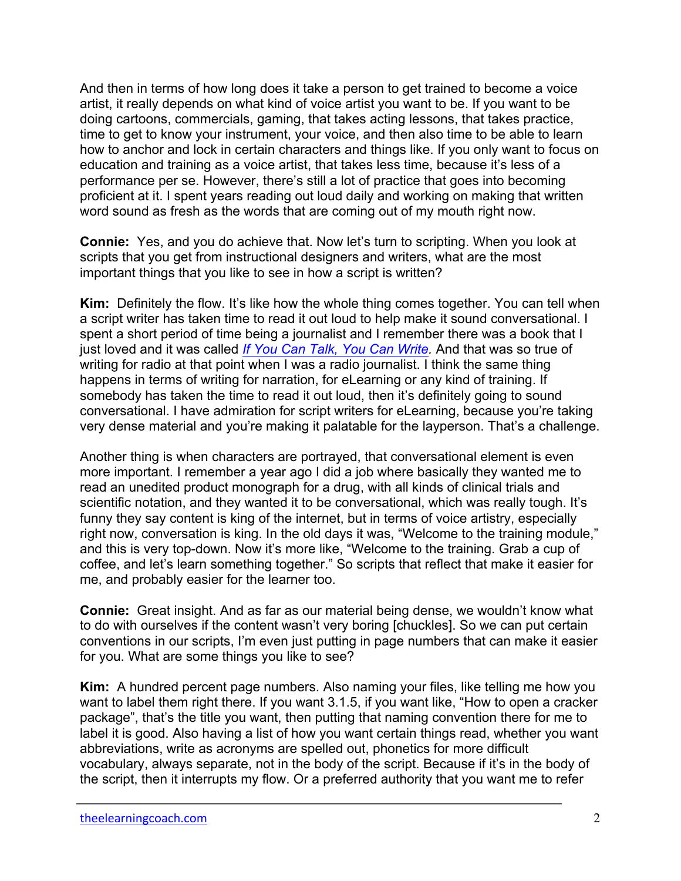And then in terms of how long does it take a person to get trained to become a voice artist, it really depends on what kind of voice artist you want to be. If you want to be doing cartoons, commercials, gaming, that takes acting lessons, that takes practice, time to get to know your instrument, your voice, and then also time to be able to learn how to anchor and lock in certain characters and things like. If you only want to focus on education and training as a voice artist, that takes less time, because it's less of a performance per se. However, there's still a lot of practice that goes into becoming proficient at it. I spent years reading out loud daily and working on making that written word sound as fresh as the words that are coming out of my mouth right now.

**Connie:** Yes, and you do achieve that. Now let's turn to scripting. When you look at scripts that you get from instructional designers and writers, what are the most important things that you like to see in how a script is written?

**Kim:** Definitely the flow. It's like how the whole thing comes together. You can tell when a script writer has taken time to read it out loud to help make it sound conversational. I spent a short period of time being a journalist and I remember there was a book that I just loved and it was called *[If You Can Talk, You Can Write](http://theelearningcoach.com/recs/if-you-can-talk.html).* And that was so true of writing for radio at that point when I was a radio journalist. I think the same thing happens in terms of writing for narration, for eLearning or any kind of training. If somebody has taken the time to read it out loud, then it's definitely going to sound conversational. I have admiration for script writers for eLearning, because you're taking very dense material and you're making it palatable for the layperson. That's a challenge.

Another thing is when characters are portrayed, that conversational element is even more important. I remember a year ago I did a job where basically they wanted me to read an unedited product monograph for a drug, with all kinds of clinical trials and scientific notation, and they wanted it to be conversational, which was really tough. It's funny they say content is king of the internet, but in terms of voice artistry, especially right now, conversation is king. In the old days it was, "Welcome to the training module," and this is very top-down. Now it's more like, "Welcome to the training. Grab a cup of coffee, and let's learn something together." So scripts that reflect that make it easier for me, and probably easier for the learner too.

**Connie:** Great insight. And as far as our material being dense, we wouldn't know what to do with ourselves if the content wasn't very boring [chuckles]. So we can put certain conventions in our scripts, I'm even just putting in page numbers that can make it easier for you. What are some things you like to see?

**Kim:** A hundred percent page numbers. Also naming your files, like telling me how you want to label them right there. If you want 3.1.5, if you want like, "How to open a cracker package", that's the title you want, then putting that naming convention there for me to label it is good. Also having a list of how you want certain things read, whether you want abbreviations, write as acronyms are spelled out, phonetics for more difficult vocabulary, always separate, not in the body of the script. Because if it's in the body of the script, then it interrupts my flow. Or a preferred authority that you want me to refer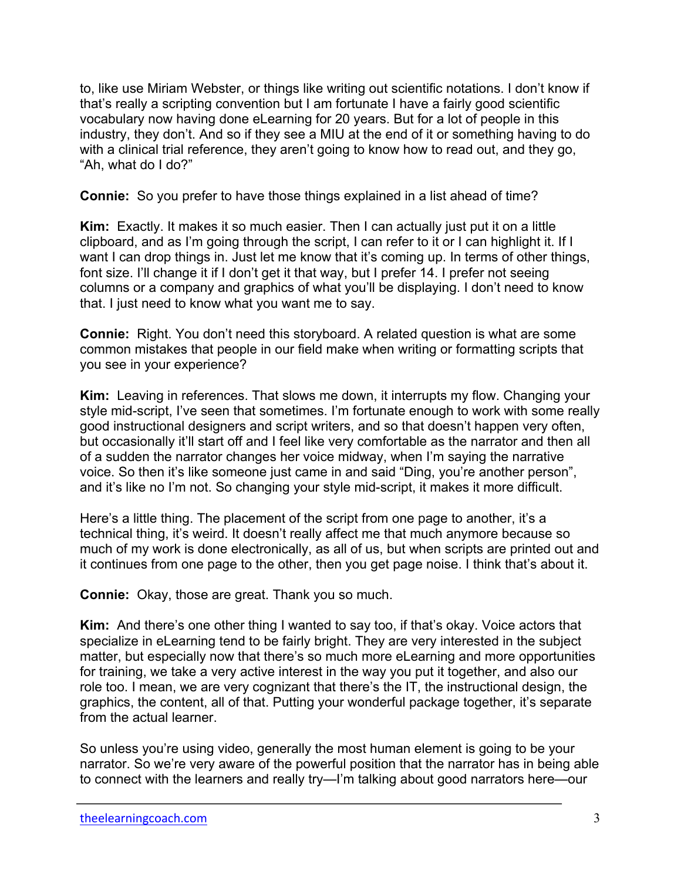to, like use Miriam Webster, or things like writing out scientific notations. I don't know if that's really a scripting convention but I am fortunate I have a fairly good scientific vocabulary now having done eLearning for 20 years. But for a lot of people in this industry, they don't. And so if they see a MIU at the end of it or something having to do with a clinical trial reference, they aren't going to know how to read out, and they go, "Ah, what do I do?"

**Connie:** So you prefer to have those things explained in a list ahead of time?

**Kim:** Exactly. It makes it so much easier. Then I can actually just put it on a little clipboard, and as I'm going through the script, I can refer to it or I can highlight it. If I want I can drop things in. Just let me know that it's coming up. In terms of other things, font size. I'll change it if I don't get it that way, but I prefer 14. I prefer not seeing columns or a company and graphics of what you'll be displaying. I don't need to know that. I just need to know what you want me to say.

**Connie:** Right. You don't need this storyboard. A related question is what are some common mistakes that people in our field make when writing or formatting scripts that you see in your experience?

**Kim:** Leaving in references. That slows me down, it interrupts my flow. Changing your style mid-script, I've seen that sometimes. I'm fortunate enough to work with some really good instructional designers and script writers, and so that doesn't happen very often, but occasionally it'll start off and I feel like very comfortable as the narrator and then all of a sudden the narrator changes her voice midway, when I'm saying the narrative voice. So then it's like someone just came in and said "Ding, you're another person", and it's like no I'm not. So changing your style mid-script, it makes it more difficult.

Here's a little thing. The placement of the script from one page to another, it's a technical thing, it's weird. It doesn't really affect me that much anymore because so much of my work is done electronically, as all of us, but when scripts are printed out and it continues from one page to the other, then you get page noise. I think that's about it.

**Connie:** Okay, those are great. Thank you so much.

**Kim:** And there's one other thing I wanted to say too, if that's okay. Voice actors that specialize in eLearning tend to be fairly bright. They are very interested in the subject matter, but especially now that there's so much more eLearning and more opportunities for training, we take a very active interest in the way you put it together, and also our role too. I mean, we are very cognizant that there's the IT, the instructional design, the graphics, the content, all of that. Putting your wonderful package together, it's separate from the actual learner.

So unless you're using video, generally the most human element is going to be your narrator. So we're very aware of the powerful position that the narrator has in being able to connect with the learners and really try—I'm talking about good narrators here—our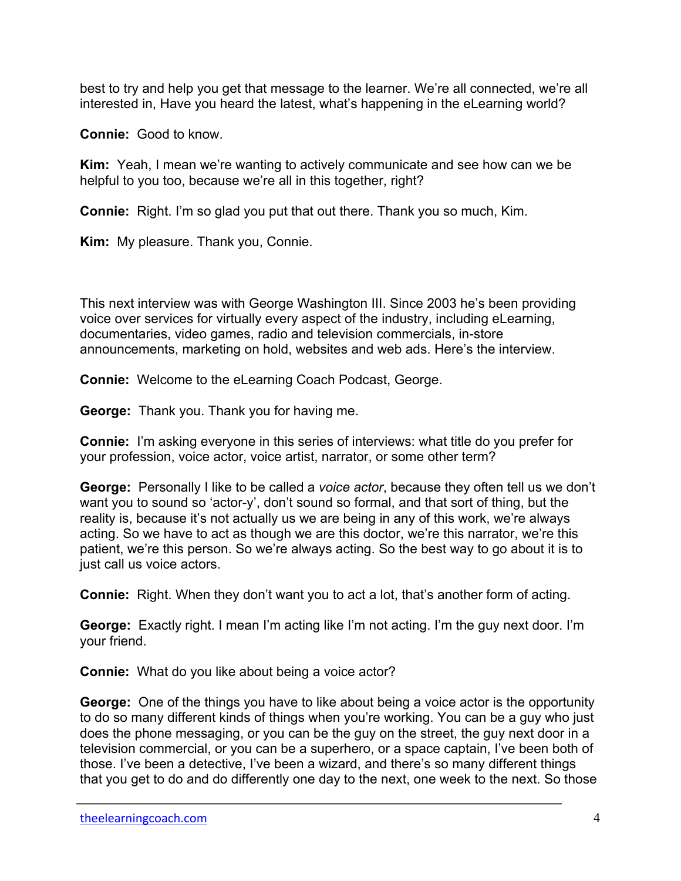best to try and help you get that message to the learner. We're all connected, we're all interested in, Have you heard the latest, what's happening in the eLearning world?

**Connie:** Good to know.

**Kim:** Yeah, I mean we're wanting to actively communicate and see how can we be helpful to you too, because we're all in this together, right?

**Connie:** Right. I'm so glad you put that out there. Thank you so much, Kim.

**Kim:** My pleasure. Thank you, Connie.

This next interview was with George Washington III. Since 2003 he's been providing voice over services for virtually every aspect of the industry, including eLearning, documentaries, video games, radio and television commercials, in-store announcements, marketing on hold, websites and web ads. Here's the interview.

**Connie:** Welcome to the eLearning Coach Podcast, George.

**George:** Thank you. Thank you for having me.

**Connie:** I'm asking everyone in this series of interviews: what title do you prefer for your profession, voice actor, voice artist, narrator, or some other term?

**George:** Personally I like to be called a *voice actor*, because they often tell us we don't want you to sound so 'actor-y', don't sound so formal, and that sort of thing, but the reality is, because it's not actually us we are being in any of this work, we're always acting. So we have to act as though we are this doctor, we're this narrator, we're this patient, we're this person. So we're always acting. So the best way to go about it is to just call us voice actors.

**Connie:** Right. When they don't want you to act a lot, that's another form of acting.

**George:** Exactly right. I mean I'm acting like I'm not acting. I'm the guy next door. I'm your friend.

**Connie:** What do you like about being a voice actor?

**George:** One of the things you have to like about being a voice actor is the opportunity to do so many different kinds of things when you're working. You can be a guy who just does the phone messaging, or you can be the guy on the street, the guy next door in a television commercial, or you can be a superhero, or a space captain, I've been both of those. I've been a detective, I've been a wizard, and there's so many different things that you get to do and do differently one day to the next, one week to the next. So those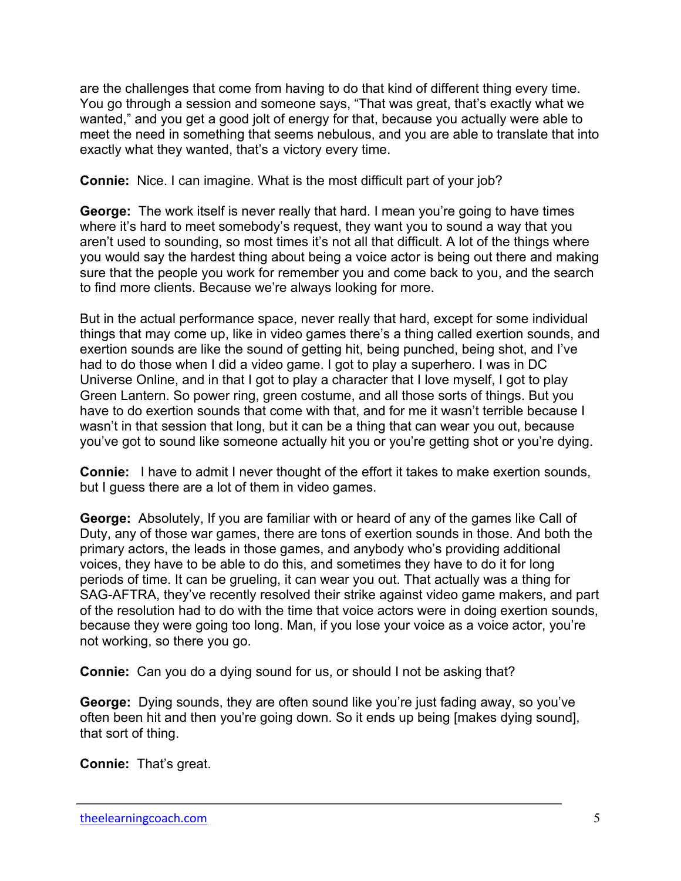are the challenges that come from having to do that kind of different thing every time. You go through a session and someone says, "That was great, that's exactly what we wanted," and you get a good jolt of energy for that, because you actually were able to meet the need in something that seems nebulous, and you are able to translate that into exactly what they wanted, that's a victory every time.

**Connie:** Nice. I can imagine. What is the most difficult part of your job?

**George:** The work itself is never really that hard. I mean you're going to have times where it's hard to meet somebody's request, they want you to sound a way that you aren't used to sounding, so most times it's not all that difficult. A lot of the things where you would say the hardest thing about being a voice actor is being out there and making sure that the people you work for remember you and come back to you, and the search to find more clients. Because we're always looking for more.

But in the actual performance space, never really that hard, except for some individual things that may come up, like in video games there's a thing called exertion sounds, and exertion sounds are like the sound of getting hit, being punched, being shot, and I've had to do those when I did a video game. I got to play a superhero. I was in DC Universe Online, and in that I got to play a character that I love myself, I got to play Green Lantern. So power ring, green costume, and all those sorts of things. But you have to do exertion sounds that come with that, and for me it wasn't terrible because I wasn't in that session that long, but it can be a thing that can wear you out, because you've got to sound like someone actually hit you or you're getting shot or you're dying.

**Connie:** I have to admit I never thought of the effort it takes to make exertion sounds, but I guess there are a lot of them in video games.

**George:** Absolutely, If you are familiar with or heard of any of the games like Call of Duty, any of those war games, there are tons of exertion sounds in those. And both the primary actors, the leads in those games, and anybody who's providing additional voices, they have to be able to do this, and sometimes they have to do it for long periods of time. It can be grueling, it can wear you out. That actually was a thing for SAG-AFTRA, they've recently resolved their strike against video game makers, and part of the resolution had to do with the time that voice actors were in doing exertion sounds, because they were going too long. Man, if you lose your voice as a voice actor, you're not working, so there you go.

**Connie:** Can you do a dying sound for us, or should I not be asking that?

**George:** Dying sounds, they are often sound like you're just fading away, so you've often been hit and then you're going down. So it ends up being [makes dying sound], that sort of thing.

**Connie:** That's great.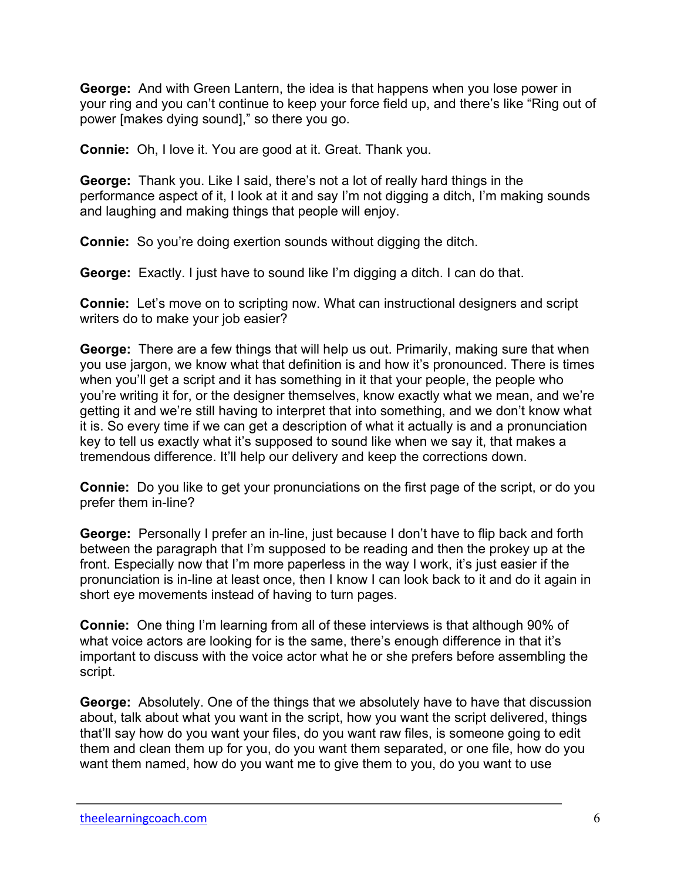**George:** And with Green Lantern, the idea is that happens when you lose power in your ring and you can't continue to keep your force field up, and there's like "Ring out of power [makes dying sound]," so there you go.

**Connie:** Oh, I love it. You are good at it. Great. Thank you.

**George:** Thank you. Like I said, there's not a lot of really hard things in the performance aspect of it, I look at it and say I'm not digging a ditch, I'm making sounds and laughing and making things that people will enjoy.

**Connie:** So you're doing exertion sounds without digging the ditch.

**George:** Exactly. I just have to sound like I'm digging a ditch. I can do that.

**Connie:** Let's move on to scripting now. What can instructional designers and script writers do to make your job easier?

**George:** There are a few things that will help us out. Primarily, making sure that when you use jargon, we know what that definition is and how it's pronounced. There is times when you'll get a script and it has something in it that your people, the people who you're writing it for, or the designer themselves, know exactly what we mean, and we're getting it and we're still having to interpret that into something, and we don't know what it is. So every time if we can get a description of what it actually is and a pronunciation key to tell us exactly what it's supposed to sound like when we say it, that makes a tremendous difference. It'll help our delivery and keep the corrections down.

**Connie:** Do you like to get your pronunciations on the first page of the script, or do you prefer them in-line?

**George:** Personally I prefer an in-line, just because I don't have to flip back and forth between the paragraph that I'm supposed to be reading and then the prokey up at the front. Especially now that I'm more paperless in the way I work, it's just easier if the pronunciation is in-line at least once, then I know I can look back to it and do it again in short eye movements instead of having to turn pages.

**Connie:** One thing I'm learning from all of these interviews is that although 90% of what voice actors are looking for is the same, there's enough difference in that it's important to discuss with the voice actor what he or she prefers before assembling the script.

**George:** Absolutely. One of the things that we absolutely have to have that discussion about, talk about what you want in the script, how you want the script delivered, things that'll say how do you want your files, do you want raw files, is someone going to edit them and clean them up for you, do you want them separated, or one file, how do you want them named, how do you want me to give them to you, do you want to use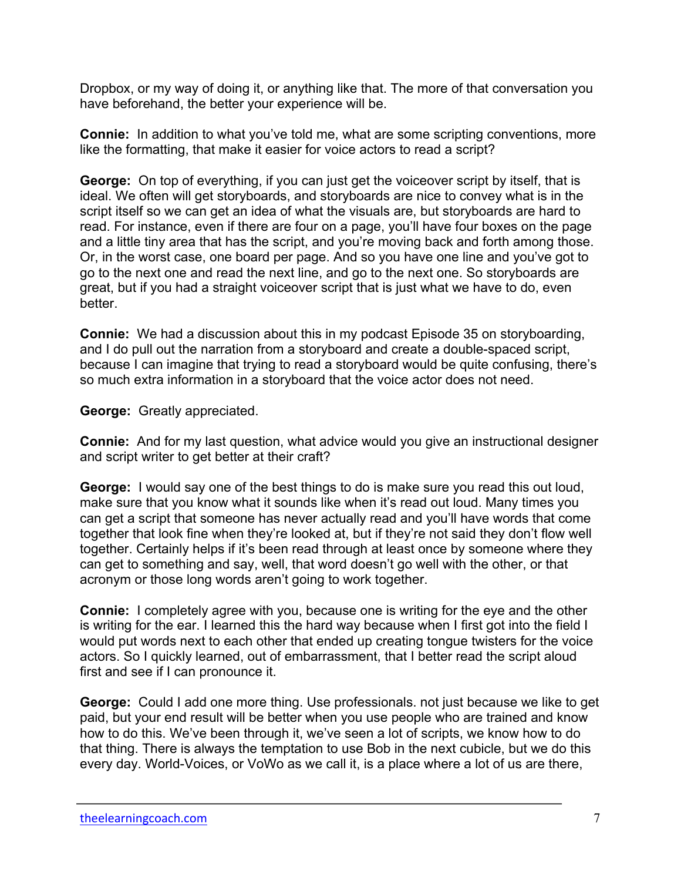Dropbox, or my way of doing it, or anything like that. The more of that conversation you have beforehand, the better your experience will be.

**Connie:** In addition to what you've told me, what are some scripting conventions, more like the formatting, that make it easier for voice actors to read a script?

**George:** On top of everything, if you can just get the voiceover script by itself, that is ideal. We often will get storyboards, and storyboards are nice to convey what is in the script itself so we can get an idea of what the visuals are, but storyboards are hard to read. For instance, even if there are four on a page, you'll have four boxes on the page and a little tiny area that has the script, and you're moving back and forth among those. Or, in the worst case, one board per page. And so you have one line and you've got to go to the next one and read the next line, and go to the next one. So storyboards are great, but if you had a straight voiceover script that is just what we have to do, even better.

**Connie:** We had a discussion about this in my podcast Episode 35 on storyboarding, and I do pull out the narration from a storyboard and create a double-spaced script, because I can imagine that trying to read a storyboard would be quite confusing, there's so much extra information in a storyboard that the voice actor does not need.

**George:** Greatly appreciated.

**Connie:** And for my last question, what advice would you give an instructional designer and script writer to get better at their craft?

**George:** I would say one of the best things to do is make sure you read this out loud, make sure that you know what it sounds like when it's read out loud. Many times you can get a script that someone has never actually read and you'll have words that come together that look fine when they're looked at, but if they're not said they don't flow well together. Certainly helps if it's been read through at least once by someone where they can get to something and say, well, that word doesn't go well with the other, or that acronym or those long words aren't going to work together.

**Connie:** I completely agree with you, because one is writing for the eye and the other is writing for the ear. I learned this the hard way because when I first got into the field I would put words next to each other that ended up creating tongue twisters for the voice actors. So I quickly learned, out of embarrassment, that I better read the script aloud first and see if I can pronounce it.

**George:** Could I add one more thing. Use professionals. not just because we like to get paid, but your end result will be better when you use people who are trained and know how to do this. We've been through it, we've seen a lot of scripts, we know how to do that thing. There is always the temptation to use Bob in the next cubicle, but we do this every day. World-Voices, or VoWo as we call it, is a place where a lot of us are there,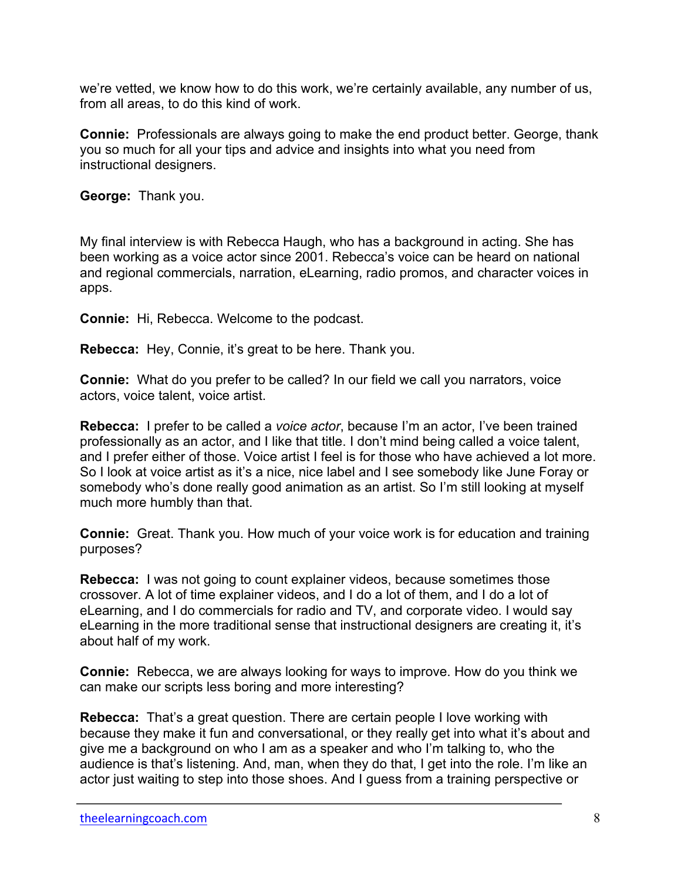we're vetted, we know how to do this work, we're certainly available, any number of us, from all areas, to do this kind of work.

**Connie:** Professionals are always going to make the end product better. George, thank you so much for all your tips and advice and insights into what you need from instructional designers.

**George:** Thank you.

My final interview is with Rebecca Haugh, who has a background in acting. She has been working as a voice actor since 2001. Rebecca's voice can be heard on national and regional commercials, narration, eLearning, radio promos, and character voices in apps.

**Connie:** Hi, Rebecca. Welcome to the podcast.

**Rebecca:** Hey, Connie, it's great to be here. Thank you.

**Connie:** What do you prefer to be called? In our field we call you narrators, voice actors, voice talent, voice artist.

**Rebecca:** I prefer to be called a *voice actor*, because I'm an actor, I've been trained professionally as an actor, and I like that title. I don't mind being called a voice talent, and I prefer either of those. Voice artist I feel is for those who have achieved a lot more. So I look at voice artist as it's a nice, nice label and I see somebody like June Foray or somebody who's done really good animation as an artist. So I'm still looking at myself much more humbly than that.

**Connie:** Great. Thank you. How much of your voice work is for education and training purposes?

**Rebecca:** I was not going to count explainer videos, because sometimes those crossover. A lot of time explainer videos, and I do a lot of them, and I do a lot of eLearning, and I do commercials for radio and TV, and corporate video. I would say eLearning in the more traditional sense that instructional designers are creating it, it's about half of my work.

**Connie:** Rebecca, we are always looking for ways to improve. How do you think we can make our scripts less boring and more interesting?

**Rebecca:** That's a great question. There are certain people I love working with because they make it fun and conversational, or they really get into what it's about and give me a background on who I am as a speaker and who I'm talking to, who the audience is that's listening. And, man, when they do that, I get into the role. I'm like an actor just waiting to step into those shoes. And I guess from a training perspective or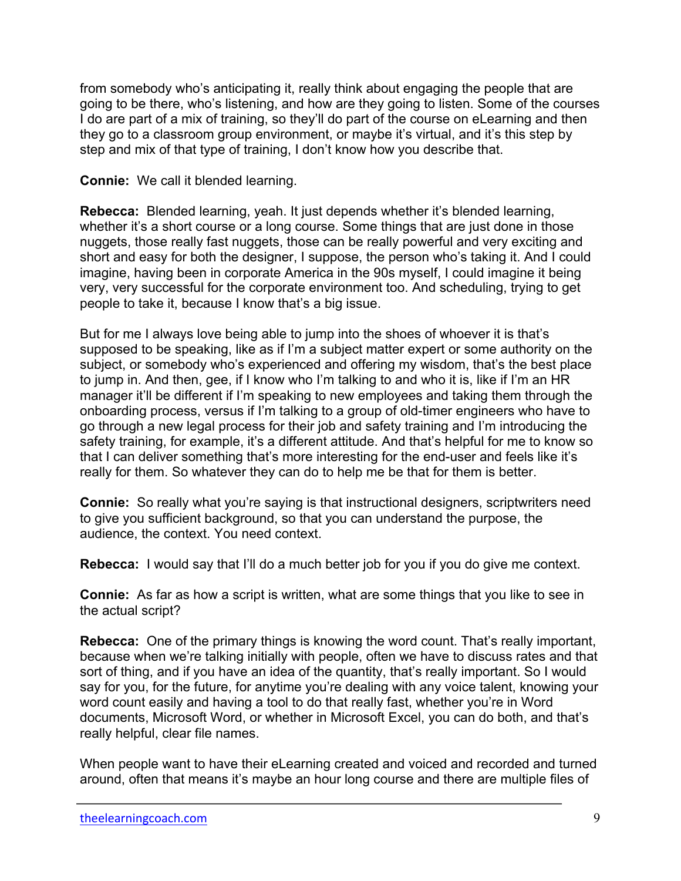from somebody who's anticipating it, really think about engaging the people that are going to be there, who's listening, and how are they going to listen. Some of the courses I do are part of a mix of training, so they'll do part of the course on eLearning and then they go to a classroom group environment, or maybe it's virtual, and it's this step by step and mix of that type of training, I don't know how you describe that.

## **Connie:** We call it blended learning.

**Rebecca:** Blended learning, yeah. It just depends whether it's blended learning, whether it's a short course or a long course. Some things that are just done in those nuggets, those really fast nuggets, those can be really powerful and very exciting and short and easy for both the designer, I suppose, the person who's taking it. And I could imagine, having been in corporate America in the 90s myself, I could imagine it being very, very successful for the corporate environment too. And scheduling, trying to get people to take it, because I know that's a big issue.

But for me I always love being able to jump into the shoes of whoever it is that's supposed to be speaking, like as if I'm a subject matter expert or some authority on the subject, or somebody who's experienced and offering my wisdom, that's the best place to jump in. And then, gee, if I know who I'm talking to and who it is, like if I'm an HR manager it'll be different if I'm speaking to new employees and taking them through the onboarding process, versus if I'm talking to a group of old-timer engineers who have to go through a new legal process for their job and safety training and I'm introducing the safety training, for example, it's a different attitude. And that's helpful for me to know so that I can deliver something that's more interesting for the end-user and feels like it's really for them. So whatever they can do to help me be that for them is better.

**Connie:** So really what you're saying is that instructional designers, scriptwriters need to give you sufficient background, so that you can understand the purpose, the audience, the context. You need context.

**Rebecca:** I would say that I'll do a much better job for you if you do give me context.

**Connie:** As far as how a script is written, what are some things that you like to see in the actual script?

**Rebecca:** One of the primary things is knowing the word count. That's really important, because when we're talking initially with people, often we have to discuss rates and that sort of thing, and if you have an idea of the quantity, that's really important. So I would say for you, for the future, for anytime you're dealing with any voice talent, knowing your word count easily and having a tool to do that really fast, whether you're in Word documents, Microsoft Word, or whether in Microsoft Excel, you can do both, and that's really helpful, clear file names.

When people want to have their eLearning created and voiced and recorded and turned around, often that means it's maybe an hour long course and there are multiple files of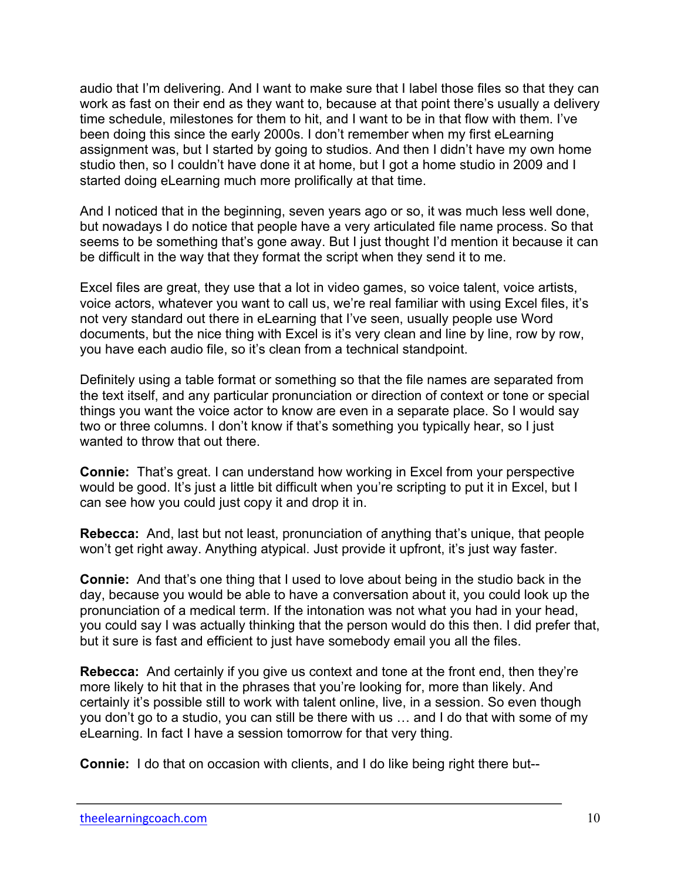audio that I'm delivering. And I want to make sure that I label those files so that they can work as fast on their end as they want to, because at that point there's usually a delivery time schedule, milestones for them to hit, and I want to be in that flow with them. I've been doing this since the early 2000s. I don't remember when my first eLearning assignment was, but I started by going to studios. And then I didn't have my own home studio then, so I couldn't have done it at home, but I got a home studio in 2009 and I started doing eLearning much more prolifically at that time.

And I noticed that in the beginning, seven years ago or so, it was much less well done, but nowadays I do notice that people have a very articulated file name process. So that seems to be something that's gone away. But I just thought I'd mention it because it can be difficult in the way that they format the script when they send it to me.

Excel files are great, they use that a lot in video games, so voice talent, voice artists, voice actors, whatever you want to call us, we're real familiar with using Excel files, it's not very standard out there in eLearning that I've seen, usually people use Word documents, but the nice thing with Excel is it's very clean and line by line, row by row, you have each audio file, so it's clean from a technical standpoint.

Definitely using a table format or something so that the file names are separated from the text itself, and any particular pronunciation or direction of context or tone or special things you want the voice actor to know are even in a separate place. So I would say two or three columns. I don't know if that's something you typically hear, so I just wanted to throw that out there.

**Connie:** That's great. I can understand how working in Excel from your perspective would be good. It's just a little bit difficult when you're scripting to put it in Excel, but I can see how you could just copy it and drop it in.

**Rebecca:** And, last but not least, pronunciation of anything that's unique, that people won't get right away. Anything atypical. Just provide it upfront, it's just way faster.

**Connie:** And that's one thing that I used to love about being in the studio back in the day, because you would be able to have a conversation about it, you could look up the pronunciation of a medical term. If the intonation was not what you had in your head, you could say I was actually thinking that the person would do this then. I did prefer that, but it sure is fast and efficient to just have somebody email you all the files.

**Rebecca:** And certainly if you give us context and tone at the front end, then they're more likely to hit that in the phrases that you're looking for, more than likely. And certainly it's possible still to work with talent online, live, in a session. So even though you don't go to a studio, you can still be there with us … and I do that with some of my eLearning. In fact I have a session tomorrow for that very thing.

**Connie:** I do that on occasion with clients, and I do like being right there but--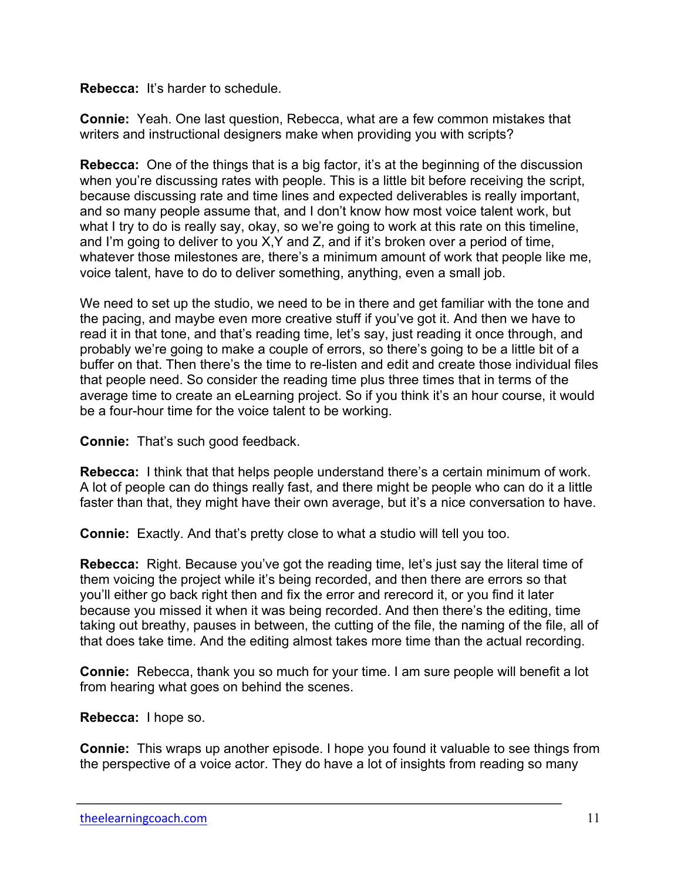## **Rebecca:** It's harder to schedule.

**Connie:** Yeah. One last question, Rebecca, what are a few common mistakes that writers and instructional designers make when providing you with scripts?

**Rebecca:** One of the things that is a big factor, it's at the beginning of the discussion when you're discussing rates with people. This is a little bit before receiving the script, because discussing rate and time lines and expected deliverables is really important, and so many people assume that, and I don't know how most voice talent work, but what I try to do is really say, okay, so we're going to work at this rate on this timeline, and I'm going to deliver to you X,Y and Z, and if it's broken over a period of time, whatever those milestones are, there's a minimum amount of work that people like me, voice talent, have to do to deliver something, anything, even a small job.

We need to set up the studio, we need to be in there and get familiar with the tone and the pacing, and maybe even more creative stuff if you've got it. And then we have to read it in that tone, and that's reading time, let's say, just reading it once through, and probably we're going to make a couple of errors, so there's going to be a little bit of a buffer on that. Then there's the time to re-listen and edit and create those individual files that people need. So consider the reading time plus three times that in terms of the average time to create an eLearning project. So if you think it's an hour course, it would be a four-hour time for the voice talent to be working.

**Connie:** That's such good feedback.

**Rebecca:** I think that that helps people understand there's a certain minimum of work. A lot of people can do things really fast, and there might be people who can do it a little faster than that, they might have their own average, but it's a nice conversation to have.

**Connie:** Exactly. And that's pretty close to what a studio will tell you too.

**Rebecca:** Right. Because you've got the reading time, let's just say the literal time of them voicing the project while it's being recorded, and then there are errors so that you'll either go back right then and fix the error and rerecord it, or you find it later because you missed it when it was being recorded. And then there's the editing, time taking out breathy, pauses in between, the cutting of the file, the naming of the file, all of that does take time. And the editing almost takes more time than the actual recording.

**Connie:** Rebecca, thank you so much for your time. I am sure people will benefit a lot from hearing what goes on behind the scenes.

**Rebecca:** I hope so.

**Connie:** This wraps up another episode. I hope you found it valuable to see things from the perspective of a voice actor. They do have a lot of insights from reading so many